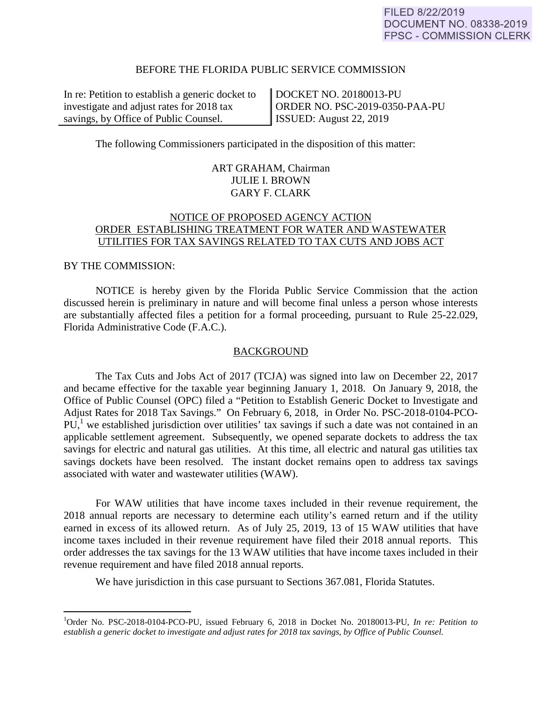### BEFORE THE FLORIDA PUBLIC SERVICE COMMISSION

In re: Petition to establish a generic docket to investigate and adjust rates for 2018 tax savings, by Office of Public Counsel.

DOCKET NO. 20180013-PU ORDER NO. PSC-2019-0350-PAA-PU ISSUED: August 22, 2019

The following Commissioners participated in the disposition of this matter:

## ART GRAHAM, Chairman JULIE I. BROWN GARY F. CLARK

## NOTICE OF PROPOSED AGENCY ACTION ORDER ESTABLISHING TREATMENT FOR WATER AND WASTEWATER UTILITIES FOR TAX SAVINGS RELATED TO TAX CUTS AND JOBS ACT

### BY THE COMMISSION:

1

 NOTICE is hereby given by the Florida Public Service Commission that the action discussed herein is preliminary in nature and will become final unless a person whose interests are substantially affected files a petition for a formal proceeding, pursuant to Rule 25-22.029, Florida Administrative Code (F.A.C.).

#### **BACKGROUND**

 The Tax Cuts and Jobs Act of 2017 (TCJA) was signed into law on December 22, 2017 and became effective for the taxable year beginning January 1, 2018. On January 9, 2018, the Office of Public Counsel (OPC) filed a "Petition to Establish Generic Docket to Investigate and Adjust Rates for 2018 Tax Savings." On February 6, 2018, in Order No. PSC-2018-0104-PCO- $PU<sub>1</sub><sup>1</sup>$  we established jurisdiction over utilities' tax savings if such a date was not contained in an applicable settlement agreement. Subsequently, we opened separate dockets to address the tax savings for electric and natural gas utilities. At this time, all electric and natural gas utilities tax savings dockets have been resolved. The instant docket remains open to address tax savings associated with water and wastewater utilities (WAW).

 For WAW utilities that have income taxes included in their revenue requirement, the 2018 annual reports are necessary to determine each utility's earned return and if the utility earned in excess of its allowed return. As of July 25, 2019, 13 of 15 WAW utilities that have income taxes included in their revenue requirement have filed their 2018 annual reports. This order addresses the tax savings for the 13 WAW utilities that have income taxes included in their revenue requirement and have filed 2018 annual reports.

We have jurisdiction in this case pursuant to Sections 367.081, Florida Statutes.

<sup>1</sup> Order No. PSC-2018-0104-PCO-PU, issued February 6, 2018 in Docket No. 20180013-PU, *In re: Petition to establish a generic docket to investigate and adjust rates for 2018 tax savings, by Office of Public Counsel.*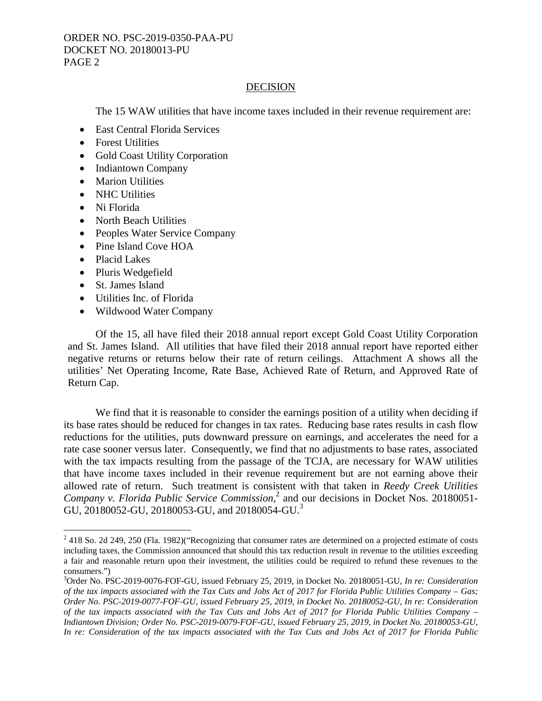## **DECISION**

The 15 WAW utilities that have income taxes included in their revenue requirement are:

- East Central Florida Services
- Forest Utilities
- Gold Coast Utility Corporation
- Indiantown Company
- Marion Utilities
- NHC Utilities
- Ni Florida
- North Beach Utilities
- Peoples Water Service Company
- Pine Island Cove HOA
- Placid Lakes

 $\overline{a}$ 

- Pluris Wedgefield
- St. James Island
- Utilities Inc. of Florida
- Wildwood Water Company

 Of the 15, all have filed their 2018 annual report except Gold Coast Utility Corporation and St. James Island. All utilities that have filed their 2018 annual report have reported either negative returns or returns below their rate of return ceilings. Attachment A shows all the utilities' Net Operating Income, Rate Base, Achieved Rate of Return, and Approved Rate of Return Cap.

We find that it is reasonable to consider the earnings position of a utility when deciding if its base rates should be reduced for changes in tax rates. Reducing base rates results in cash flow reductions for the utilities, puts downward pressure on earnings, and accelerates the need for a rate case sooner versus later. Consequently, we find that no adjustments to base rates, associated with the tax impacts resulting from the passage of the TCJA, are necessary for WAW utilities that have income taxes included in their revenue requirement but are not earning above their allowed rate of return. Such treatment is consistent with that taken in *Reedy Creek Utilities*  Company v. Florida Public Service Commission,<sup>2</sup> and our decisions in Docket Nos. 20180051-GU, 20180052-GU, 20180053-GU, and 20180054-GU.<sup>3</sup>

 $2418$  So. 2d 249, 250 (Fla. 1982)("Recognizing that consumer rates are determined on a projected estimate of costs including taxes, the Commission announced that should this tax reduction result in revenue to the utilities exceeding a fair and reasonable return upon their investment, the utilities could be required to refund these revenues to the consumers.")

<sup>3</sup> Order No. PSC-2019-0076-FOF-GU, issued February 25, 2019, in Docket No. 20180051-GU, *In re: Consideration of the tax impacts associated with the Tax Cuts and Jobs Act of 2017 for Florida Public Utilities Company – Gas; Order No. PSC-2019-0077-FOF-GU, issued February 25, 2019, in Docket No. 20180052-GU, In re: Consideration of the tax impacts associated with the Tax Cuts and Jobs Act of 2017 for Florida Public Utilities Company – Indiantown Division; Order No. PSC-2019-0079-FOF-GU, issued February 25, 2019, in Docket No. 20180053-GU, In re: Consideration of the tax impacts associated with the Tax Cuts and Jobs Act of 2017 for Florida Public*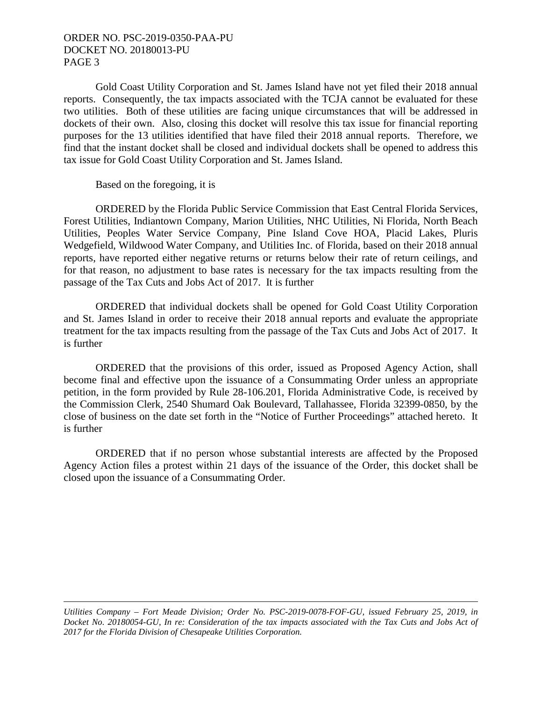## ORDER NO. PSC-2019-0350-PAA-PU DOCKET NO. 20180013-PU PAGE 3

 Gold Coast Utility Corporation and St. James Island have not yet filed their 2018 annual reports. Consequently, the tax impacts associated with the TCJA cannot be evaluated for these two utilities. Both of these utilities are facing unique circumstances that will be addressed in dockets of their own. Also, closing this docket will resolve this tax issue for financial reporting purposes for the 13 utilities identified that have filed their 2018 annual reports. Therefore, we find that the instant docket shall be closed and individual dockets shall be opened to address this tax issue for Gold Coast Utility Corporation and St. James Island.

Based on the foregoing, it is

 ORDERED by the Florida Public Service Commission that East Central Florida Services, Forest Utilities, Indiantown Company, Marion Utilities, NHC Utilities, Ni Florida, North Beach Utilities, Peoples Water Service Company, Pine Island Cove HOA, Placid Lakes, Pluris Wedgefield, Wildwood Water Company, and Utilities Inc. of Florida, based on their 2018 annual reports, have reported either negative returns or returns below their rate of return ceilings, and for that reason, no adjustment to base rates is necessary for the tax impacts resulting from the passage of the Tax Cuts and Jobs Act of 2017. It is further

 ORDERED that individual dockets shall be opened for Gold Coast Utility Corporation and St. James Island in order to receive their 2018 annual reports and evaluate the appropriate treatment for the tax impacts resulting from the passage of the Tax Cuts and Jobs Act of 2017. It is further

 ORDERED that the provisions of this order, issued as Proposed Agency Action, shall become final and effective upon the issuance of a Consummating Order unless an appropriate petition, in the form provided by Rule 28-106.201, Florida Administrative Code, is received by the Commission Clerk, 2540 Shumard Oak Boulevard, Tallahassee, Florida 32399-0850, by the close of business on the date set forth in the "Notice of Further Proceedings" attached hereto. It is further

 ORDERED that if no person whose substantial interests are affected by the Proposed Agency Action files a protest within 21 days of the issuance of the Order, this docket shall be closed upon the issuance of a Consummating Order.

1 *Utilities Company – Fort Meade Division; Order No. PSC-2019-0078-FOF-GU, issued February 25, 2019, in Docket No. 20180054-GU, In re: Consideration of the tax impacts associated with the Tax Cuts and Jobs Act of 2017 for the Florida Division of Chesapeake Utilities Corporation.*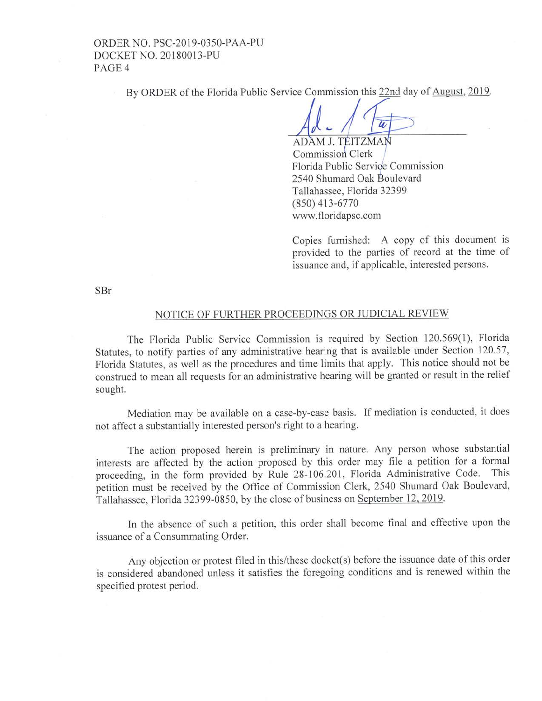ORDER NO. PSC-20 19-0350-PAA-PU DOCKETNO. 20180013-PU PAGE<sub>4</sub>

By ORDER of the Florida Public Service Commission this 22nd day of August, 2019.

ADAM J. TEITZMAN Commission Clerk Florida Public Service Commission 2540 Shumard Oak Boulevard Tallahassee, Florida 32399 (850) 413-6770 www. floridapsc.com

Copies furnished: A copy of this document is provided to the parties of record at the time of issuance and, if applicable, interested persons.

SBr

#### NOTICE OF FURTHER PROCEEDINGS OR JUDICIAL REVIEW

The Florida Public Service Commission is required by Section 120.569(1), Florida Statutes, to notify parties of any administrative hearing that is available under Section 120.57, Florida Statutes, as well as the procedures and time limits that apply. This notice should not be construed to mean all requests for an administrative hearing will be granted or result in the relief sought.

Mediation may be available on a case-by-case basis. If mediation is conducted, it does not affect a substantially interested person's right to a hearing.

The action proposed herein is preliminary in nature. Any person whose substantial interests are affected by the action proposed by this order may file a petition for a formal<br>proceeding in the form provided by Rule 28-106.201. Florida Administrative Code. This proceeding, in the form provided by Rule 28-106.201, Florida Administrative Code. petition must be received by the Office of Commission Clerk, 2540 Shumard Oak Boulevard, Tallahassee, Florida 32399-0850, by the close of business on September 12,2019.

ln the absence of such a petition, this order shall become final and effective upon the issuance of a Consummating Order.

Any objection or protest filed in this/these docket(s) before the issuance date of this order is considered abandoned unless it satisfies the foregoing conditions and is renewed within the specified protest period.